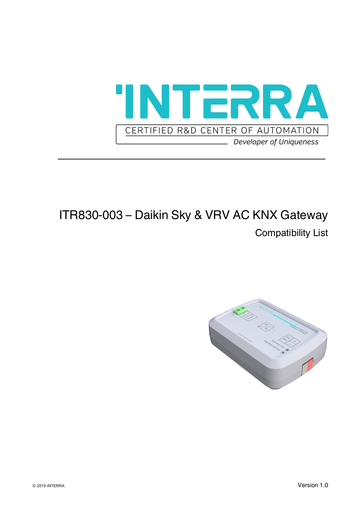

### ITR830-003 – Daikin Sky & VRV AC KNX Gateway

Compatibility List

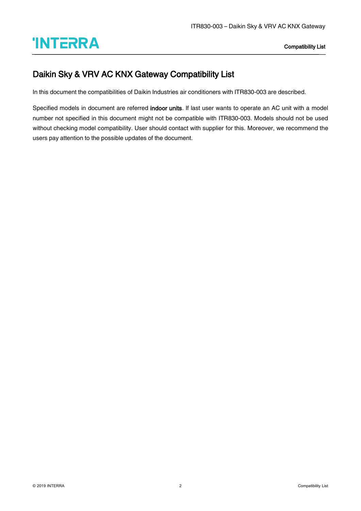# **Compatibility List**

#### Daikin Sky & VRV AC KNX Gateway Compatibility List

In this document the compatibilities of Daikin Industries air conditioners with ITR830-003 are described.

Specified models in document are referred indoor units. If last user wants to operate an AC unit with a model number not specified in this document might not be compatible with ITR830-003. Models should not be used without checking model compatibility. User should contact with supplier for this. Moreover, we recommend the users pay attention to the possible updates of the document.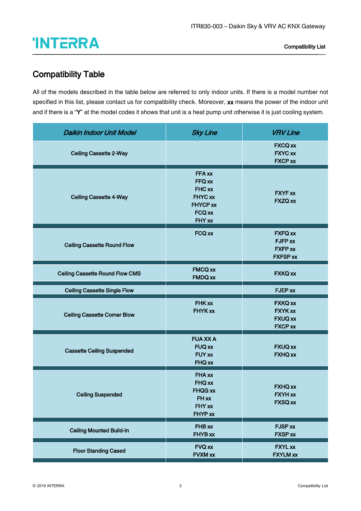## **Compatibility List**

#### Compatibility Table

All of the models described in the table below are referred to only indoor units. If there is a model number not specified in this list, please contact us for compatibility check. Moreover, xx means the power of the indoor unit and if there is a "Y" at the model codes it shows that unit is a heat pump unit otherwise it is just cooling system.

| <b>Daikin Indoor Unit Model</b>        | <b>Sky Line</b>                                                                     | <b>VRV Line</b>                                                      |
|----------------------------------------|-------------------------------------------------------------------------------------|----------------------------------------------------------------------|
| <b>Ceiling Cassette 2-Way</b>          |                                                                                     | <b>FXCQ xx</b><br><b>FXYC xx</b><br><b>FXCP xx</b>                   |
| <b>Ceiling Cassette 4-Way</b>          | FFA xx<br>FFQ xx<br>FHC xx<br><b>FHYC xx</b><br><b>FHYCP xx</b><br>FCQ xx<br>FHY xx | <b>FXYF xx</b><br>FXZQ xx                                            |
| <b>Ceiling Cassette Round Flow</b>     | FCQ xx                                                                              | <b>FXFQ xx</b><br>FJFP xx<br><b>FXFP xx</b><br><b>FXFSP xx</b>       |
| <b>Ceiling Cassette Round Flow CMS</b> | <b>FMCQ xx</b><br><b>FMDQ xx</b>                                                    | <b>FXKQ xx</b>                                                       |
| <b>Ceiling Cassette Single Flow</b>    |                                                                                     | <b>FJEP xx</b>                                                       |
| <b>Ceiling Cassette Corner Blow</b>    | FHK xx<br><b>FHYK xx</b>                                                            | <b>FXKQ xx</b><br><b>FXYK xx</b><br><b>FXUQ xx</b><br><b>FXCP xx</b> |
| <b>Cassette Ceiling Suspended</b>      | <b>FUA XX A</b><br><b>FUQ xx</b><br><b>FUY xx</b><br><b>FHQ xx</b>                  | <b>FXUQ xx</b><br><b>FXHQ xx</b>                                     |
| <b>Ceiling Suspended</b>               | FHA xx<br>FHQ xx<br><b>FHQG xx</b><br>FH xx<br>FHY xx<br>FHYP xx                    | <b>FXHQ xx</b><br><b>FXYH xx</b><br><b>FXSQ xx</b>                   |
| <b>Ceiling Mounted Build-In</b>        | FHB xx<br>FHYB xx                                                                   | <b>FJSP xx</b><br><b>FXSP xx</b>                                     |
| <b>Floor Standing Cased</b>            | <b>FVQ xx</b><br><b>FVXM xx</b>                                                     | <b>FXYL xx</b><br><b>FXYLM xx</b>                                    |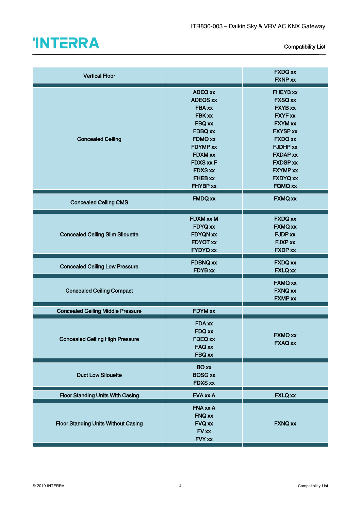

| <b>Vertical Floor</b>                      |                                                                                                                                                                                                       | <b>FXDQ xx</b><br><b>FXNP xx</b>                                                                                                                                                                                                              |
|--------------------------------------------|-------------------------------------------------------------------------------------------------------------------------------------------------------------------------------------------------------|-----------------------------------------------------------------------------------------------------------------------------------------------------------------------------------------------------------------------------------------------|
| <b>Concealed Ceiling</b>                   | <b>ADEQ xx</b><br><b>ADEQS xx</b><br>FBA xx<br><b>FBK xx</b><br><b>FBQ xx</b><br>FDBQ xx<br><b>FDMQ xx</b><br><b>FDYMP</b> xx<br>FDXM xx<br><b>FDXS xx F</b><br><b>FDXS xx</b><br>FHEB xx<br>FHYBP xx | <b>FHEYB xx</b><br><b>FXSQ xx</b><br><b>FXYB xx</b><br><b>FXYF xx</b><br><b>FXYM xx</b><br><b>FXYSP xx</b><br><b>FXDQ xx</b><br><b>FJDHP xx</b><br><b>FXDAP xx</b><br><b>FXDSP xx</b><br><b>FXYMP xx</b><br><b>FXDYQ xx</b><br><b>FQMQ xx</b> |
| <b>Concealed Ceiling CMS</b>               | <b>FMDQ xx</b>                                                                                                                                                                                        | <b>FXMQ xx</b>                                                                                                                                                                                                                                |
| <b>Concealed Ceiling Slim Silouette</b>    | FDXM xx M<br><b>FDYQ xx</b><br><b>FDYQN xx</b><br><b>FDYQT xx</b><br><b>FYDYQ xx</b>                                                                                                                  | <b>FXDQ xx</b><br><b>FXMQ xx</b><br><b>FJDP xx</b><br>FJXP xx<br><b>FXDP xx</b>                                                                                                                                                               |
| <b>Concealed Ceiling Low Pressure</b>      | <b>FDBNQ xx</b><br><b>FDYB xx</b>                                                                                                                                                                     | <b>FXDQ xx</b><br><b>FXLQ xx</b>                                                                                                                                                                                                              |
| <b>Concealed Ceiling Compact</b>           |                                                                                                                                                                                                       | <b>FXMQ xx</b><br><b>FXNQ xx</b><br><b>FXMP xx</b>                                                                                                                                                                                            |
| <b>Concealed Ceiling Middle Pressure</b>   | FDYM xx                                                                                                                                                                                               |                                                                                                                                                                                                                                               |
| <b>Concealed Ceiling High Pressure</b>     | <b>FDA xx</b><br>FDQ xx<br>FDEQ xx<br><b>FAQ xx</b><br>FBQ xx                                                                                                                                         | <b>FXMQ xx</b><br><b>FXAQ xx</b>                                                                                                                                                                                                              |
| <b>Duct Low Silouette</b>                  | <b>BQ</b> xx<br><b>BQSG xx</b><br><b>FDXS xx</b>                                                                                                                                                      |                                                                                                                                                                                                                                               |
| <b>Floor Standing Units With Casing</b>    | <b>FVA xx A</b>                                                                                                                                                                                       | <b>FXLQ xx</b>                                                                                                                                                                                                                                |
| <b>Floor Standing Units Without Casing</b> | FNA xx A<br>FNQ xx<br><b>FVQ xx</b><br>FV xx<br>FVY xx                                                                                                                                                | <b>FXNQ xx</b>                                                                                                                                                                                                                                |